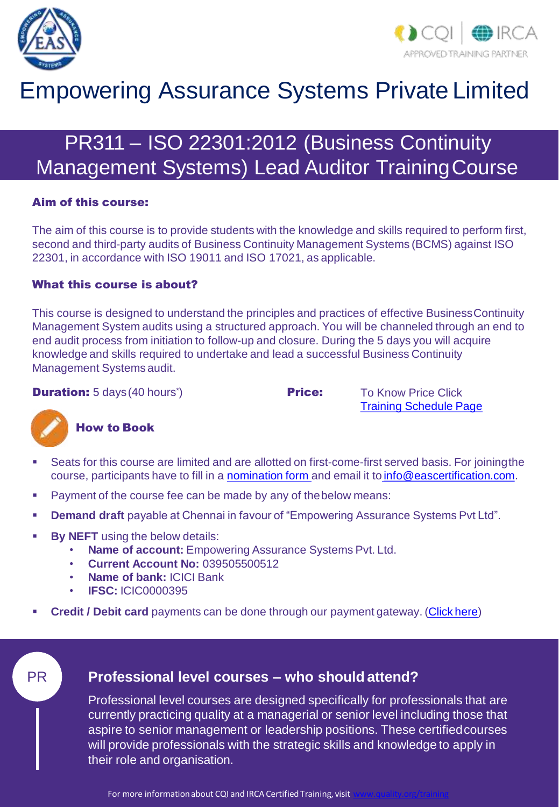



# Empowering Assurance Systems Private Limited

# PR311 – ISO 22301:2012 (Business Continuity Management Systems) Lead Auditor TrainingCourse

#### Aim of this course:

The aim of this course is to provide students with the knowledge and skills required to perform first, second and third-party audits of Business Continuity Management Systems (BCMS) against ISO 22301, in accordance with ISO 19011 and ISO 17021, as applicable.

#### What this course is about?

This course is designed to understand the principles and practices of effective BusinessContinuity Management System audits using a structured approach. You will be channeled through an end to end audit process from initiation to follow-up and closure. During the 5 days you will acquire knowledge and skills required to undertake and lead a successful Business Continuity Management Systems audit.

**Duration:** 5 days (40 hours<sup>\*</sup>)

**Price:** To Know Price Click [Training Schedule Page](https://www.eascertification.com/training-schedule/)



#### How to Book

- Seats for this course are limited and are allotted on first-come-first served basis. For joiningthe course, participants have to fill in a [nomination form](http://www.eascertification.com/wp-content/uploads/2017/10/F-01-Student-Nomination-Form-V1.3-1.docx) and email it to [info@eascertification.com.](mailto:info@eascertification.com)
- **Payment of the course fee can be made by any of the below means:**
- **Demand draft** payable at Chennai in favour of "Empowering Assurance Systems Pvt Ltd".
- **By NEFT** using the below details:
	- **Name of account:** Empowering Assurance Systems Pvt. Ltd.
	- **Current Account No:** 039505500512
	- **Name of bank:** ICICI Bank
	- **IFSC:** ICIC0000395
- **Credit / Debit card** payments can be done through our payment gateway. [\(Click](http://www.eascertification.com/online-payment/) here)

### PR **Professional level courses – who should attend?**

Professional level courses are designed specifically for professionals that are currently practicing quality at a managerial or senior level including those that aspire to senior management or leadership positions. These certifiedcourses will provide professionals with the strategic skills and knowledge to apply in their role and organisation.